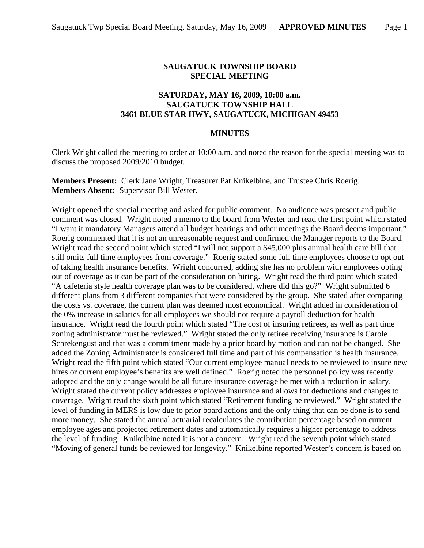## **SAUGATUCK TOWNSHIP BOARD SPECIAL MEETING**

## **SATURDAY, MAY 16, 2009, 10:00 a.m. SAUGATUCK TOWNSHIP HALL 3461 BLUE STAR HWY, SAUGATUCK, MICHIGAN 49453**

## **MINUTES**

Clerk Wright called the meeting to order at 10:00 a.m. and noted the reason for the special meeting was to discuss the proposed 2009/2010 budget.

**Members Present:** Clerk Jane Wright, Treasurer Pat Knikelbine, and Trustee Chris Roerig. **Members Absent:** Supervisor Bill Wester.

Wright opened the special meeting and asked for public comment. No audience was present and public comment was closed. Wright noted a memo to the board from Wester and read the first point which stated "I want it mandatory Managers attend all budget hearings and other meetings the Board deems important." Roerig commented that it is not an unreasonable request and confirmed the Manager reports to the Board. Wright read the second point which stated "I will not support a \$45,000 plus annual health care bill that still omits full time employees from coverage." Roerig stated some full time employees choose to opt out of taking health insurance benefits. Wright concurred, adding she has no problem with employees opting out of coverage as it can be part of the consideration on hiring. Wright read the third point which stated "A cafeteria style health coverage plan was to be considered, where did this go?" Wright submitted 6 different plans from 3 different companies that were considered by the group. She stated after comparing the costs vs. coverage, the current plan was deemed most economical. Wright added in consideration of the 0% increase in salaries for all employees we should not require a payroll deduction for health insurance. Wright read the fourth point which stated "The cost of insuring retirees, as well as part time zoning administrator must be reviewed." Wright stated the only retiree receiving insurance is Carole Schrekengust and that was a commitment made by a prior board by motion and can not be changed. She added the Zoning Administrator is considered full time and part of his compensation is health insurance. Wright read the fifth point which stated "Our current employee manual needs to be reviewed to insure new hires or current employee's benefits are well defined." Roerig noted the personnel policy was recently adopted and the only change would be all future insurance coverage be met with a reduction in salary. Wright stated the current policy addresses employee insurance and allows for deductions and changes to coverage. Wright read the sixth point which stated "Retirement funding be reviewed." Wright stated the level of funding in MERS is low due to prior board actions and the only thing that can be done is to send more money. She stated the annual actuarial recalculates the contribution percentage based on current employee ages and projected retirement dates and automatically requires a higher percentage to address the level of funding. Knikelbine noted it is not a concern. Wright read the seventh point which stated "Moving of general funds be reviewed for longevity." Knikelbine reported Wester's concern is based on